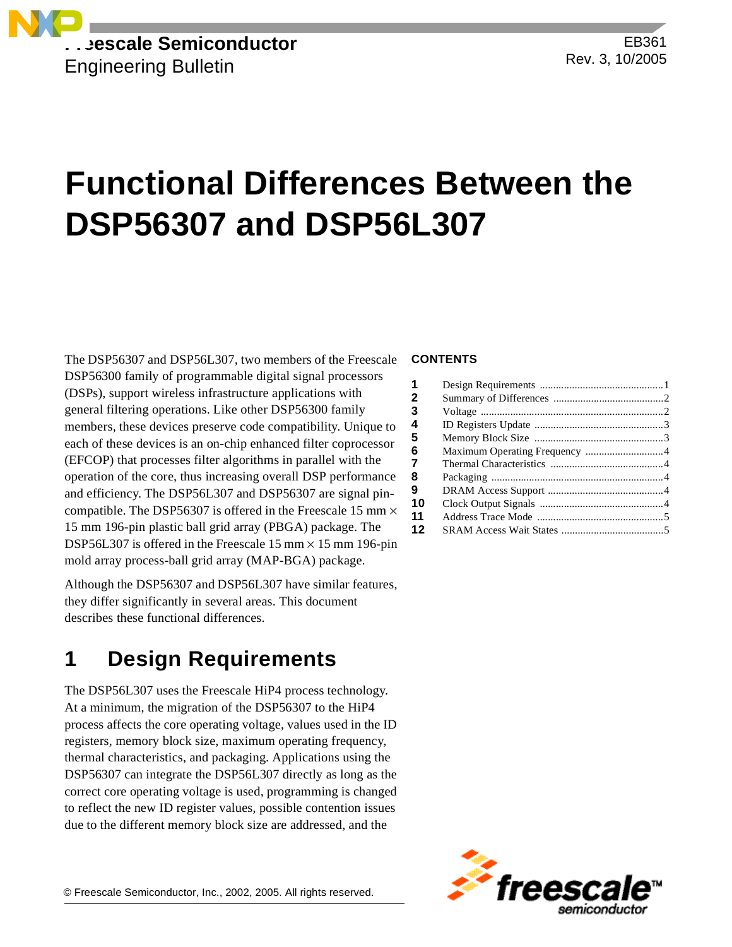

EB361 Rev. 3, 10/2005

# **Functional Differences Between the DSP56307 and DSP56L307**

The DSP56307 and DSP56L307, two members of the Freescale DSP56300 family of programmable digital signal processors (DSPs), support wireless infrastructure applications with general filtering operations. Like other DSP56300 family members, these devices preserve code compatibility. Unique to each of these devices is an on-chip enhanced filter coprocessor (EFCOP) that processes filter algorithms in parallel with the operation of the core, thus increasing overall DSP performance and efficiency. The DSP56L307 and DSP56307 are signal pincompatible. The DSP56307 is offered in the Freescale 15 mm  $\times$ 15 mm 196-pin plastic ball grid array (PBGA) package. The DSP56L307 is offered in the Freescale  $15 \text{ mm} \times 15 \text{ mm}$  196-pin mold array process-ball grid array (MAP-BGA) package.

Although the DSP56307 and DSP56L307 have similar features, they differ significantly in several areas. This document describes these functional differences.

### **1 Design Requirements**

The DSP56L307 uses the Freescale HiP4 process technology. At a minimum, the migration of the DSP56307 to the HiP4 process affects the core operating voltage, values used in the ID registers, memory block size, maximum operating frequency, thermal characteristics, and packaging. Applications using the DSP56307 can integrate the DSP56L307 directly as long as the correct core operating voltage is used, programming is changed to reflect the new ID register values, possible contention issues due to the different memory block size are addressed, and the

#### **CONTENTS**

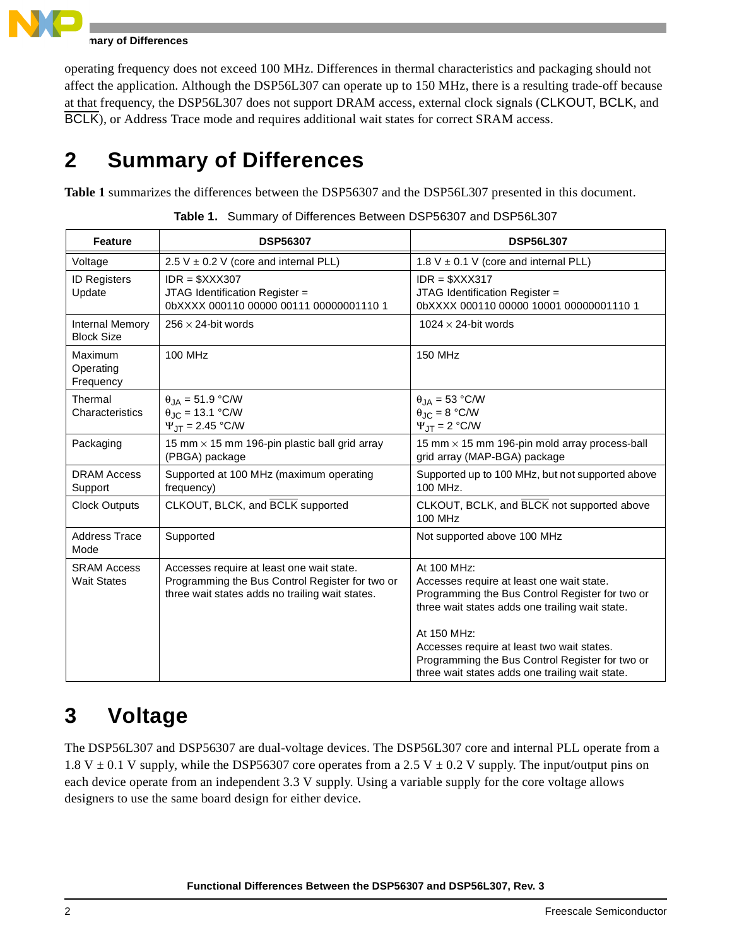

#### **Summary of Differences**

operating frequency does not exceed 100 MHz. Differences in thermal characteristics and packaging should not affect the application. Although the DSP56L307 can operate up to 150 MHz, there is a resulting trade-off because at that frequency, the DSP56L307 does not support DRAM access, external clock signals (CLKOUT, BCLK, and BCLK), or Address Trace mode and requires additional wait states for correct SRAM access.

### **2 Summary of Differences**

**[Table 1](#page-1-0)** summarizes the differences between the DSP56307 and the DSP56L307 presented in this document.

<span id="page-1-0"></span>

| <b>Feature</b>                              | <b>DSP56307</b>                                                                                                                                 | <b>DSP56L307</b>                                                                                                                                                                                                                                                                                                                  |
|---------------------------------------------|-------------------------------------------------------------------------------------------------------------------------------------------------|-----------------------------------------------------------------------------------------------------------------------------------------------------------------------------------------------------------------------------------------------------------------------------------------------------------------------------------|
| Voltage                                     | 2.5 V ± 0.2 V (core and internal PLL)                                                                                                           | 1.8 V ± 0.1 V (core and internal PLL)                                                                                                                                                                                                                                                                                             |
| <b>ID Registers</b><br>Update               | $IDR = $XXX307$<br>JTAG Identification Register =<br>0bXXXX 000110 00000 00111 00000001110 1                                                    | $IDR = $XXX317$<br>JTAG Identification Register =<br>0bXXXX 000110 00000 10001 00000001110 1                                                                                                                                                                                                                                      |
| <b>Internal Memory</b><br><b>Block Size</b> | $256 \times 24$ -bit words                                                                                                                      | 1024 $\times$ 24-bit words                                                                                                                                                                                                                                                                                                        |
| Maximum<br>Operating<br>Frequency           | 100 MHz                                                                                                                                         | <b>150 MHz</b>                                                                                                                                                                                                                                                                                                                    |
| Thermal<br>Characteristics                  | $\theta_{JA}$ = 51.9 °C/W<br>$\theta_{\text{JC}}$ = 13.1 °C/W<br>$\Psi_{IT}$ = 2.45 °C/W                                                        | $\theta_{JA} = 53 \text{ °C/W}$<br>$\theta_{\text{JC}} = 8 \text{ °C/W}$<br>$\Psi_{\text{JT}} = 2 \text{°C/W}$                                                                                                                                                                                                                    |
| Packaging                                   | 15 mm $\times$ 15 mm 196-pin plastic ball grid array<br>(PBGA) package                                                                          | 15 mm $\times$ 15 mm 196-pin mold array process-ball<br>grid array (MAP-BGA) package                                                                                                                                                                                                                                              |
| <b>DRAM Access</b><br>Support               | Supported at 100 MHz (maximum operating<br>frequency)                                                                                           | Supported up to 100 MHz, but not supported above<br>100 MHz.                                                                                                                                                                                                                                                                      |
| <b>Clock Outputs</b>                        | CLKOUT, BLCK, and BCLK supported                                                                                                                | CLKOUT, BCLK, and BLCK not supported above<br>100 MHz                                                                                                                                                                                                                                                                             |
| <b>Address Trace</b><br>Mode                | Supported                                                                                                                                       | Not supported above 100 MHz                                                                                                                                                                                                                                                                                                       |
| <b>SRAM Access</b><br><b>Wait States</b>    | Accesses require at least one wait state.<br>Programming the Bus Control Register for two or<br>three wait states adds no trailing wait states. | At 100 MHz:<br>Accesses require at least one wait state.<br>Programming the Bus Control Register for two or<br>three wait states adds one trailing wait state.<br>At 150 MHz:<br>Accesses require at least two wait states.<br>Programming the Bus Control Register for two or<br>three wait states adds one trailing wait state. |

|  | Table 1. Summary of Differences Between DSP56307 and DSP56L307 |  |  |
|--|----------------------------------------------------------------|--|--|
|--|----------------------------------------------------------------|--|--|

# **3 Voltage**

The DSP56L307 and DSP56307 are dual-voltage devices. The DSP56L307 core and internal PLL operate from a 1.8 V  $\pm$  0.1 V supply, while the DSP56307 core operates from a 2.5 V  $\pm$  0.2 V supply. The input/output pins on each device operate from an independent 3.3 V supply. Using a variable supply for the core voltage allows designers to use the same board design for either device.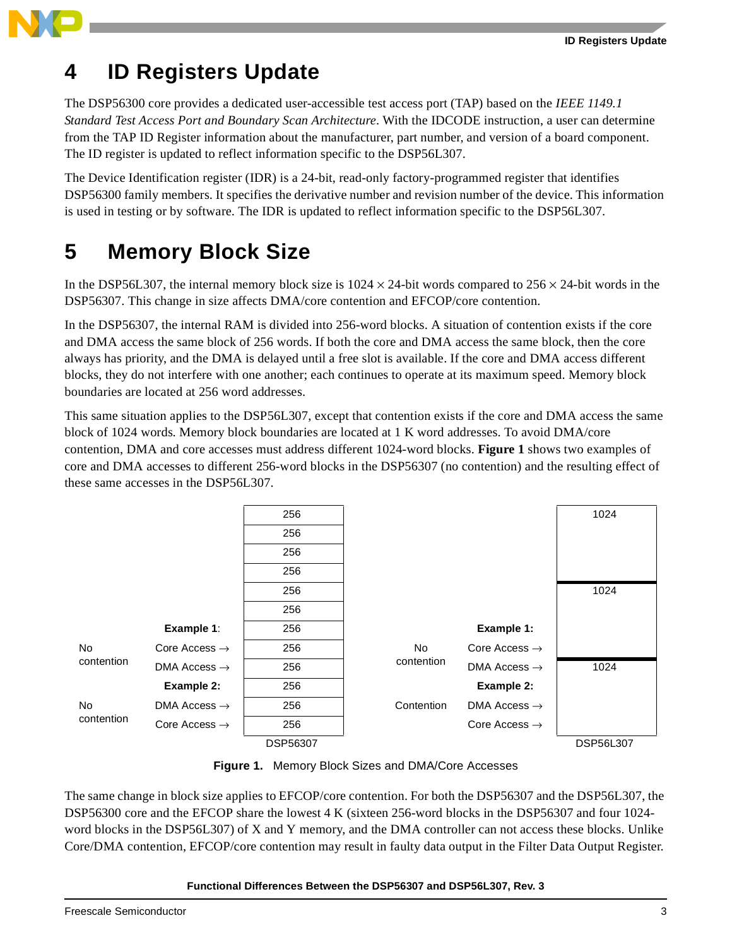### **4 ID Registers Update**

The DSP56300 core provides a dedicated user-accessible test access port (TAP) based on the *IEEE 1149.1 Standard Test Access Port and Boundary Scan Architecture*. With the IDCODE instruction, a user can determine from the TAP ID Register information about the manufacturer, part number, and version of a board component. The ID register is updated to reflect information specific to the DSP56L307.

The Device Identification register (IDR) is a 24-bit, read-only factory-programmed register that identifies DSP56300 family members. It specifies the derivative number and revision number of the device. This information is used in testing or by software. The IDR is updated to reflect information specific to the DSP56L307.

# **5 Memory Block Size**

In the DSP56L307, the internal memory block size is  $1024 \times 24$ -bit words compared to  $256 \times 24$ -bit words in the DSP56307. This change in size affects DMA/core contention and EFCOP/core contention.

In the DSP56307, the internal RAM is divided into 256-word blocks. A situation of contention exists if the core and DMA access the same block of 256 words. If both the core and DMA access the same block, then the core always has priority, and the DMA is delayed until a free slot is available. If the core and DMA access different blocks, they do not interfere with one another; each continues to operate at its maximum speed. Memory block boundaries are located at 256 word addresses.

This same situation applies to the DSP56L307, except that contention exists if the core and DMA access the same block of 1024 words. Memory block boundaries are located at 1 K word addresses. To avoid DMA/core contention, DMA and core accesses must address different 1024-word blocks. **[Figure 1](#page-2-0)** shows two examples of core and DMA accesses to different 256-word blocks in the DSP56307 (no contention) and the resulting effect of these same accesses in the DSP56L307.



**Figure 1.** Memory Block Sizes and DMA/Core Accesses

<span id="page-2-0"></span>The same change in block size applies to EFCOP/core contention. For both the DSP56307 and the DSP56L307, the DSP56300 core and the EFCOP share the lowest 4 K (sixteen 256-word blocks in the DSP56307 and four 1024 word blocks in the DSP56L307) of X and Y memory, and the DMA controller can not access these blocks. Unlike Core/DMA contention, EFCOP/core contention may result in faulty data output in the Filter Data Output Register.

#### **Functional Differences Between the DSP56307 and DSP56L307, Rev. 3**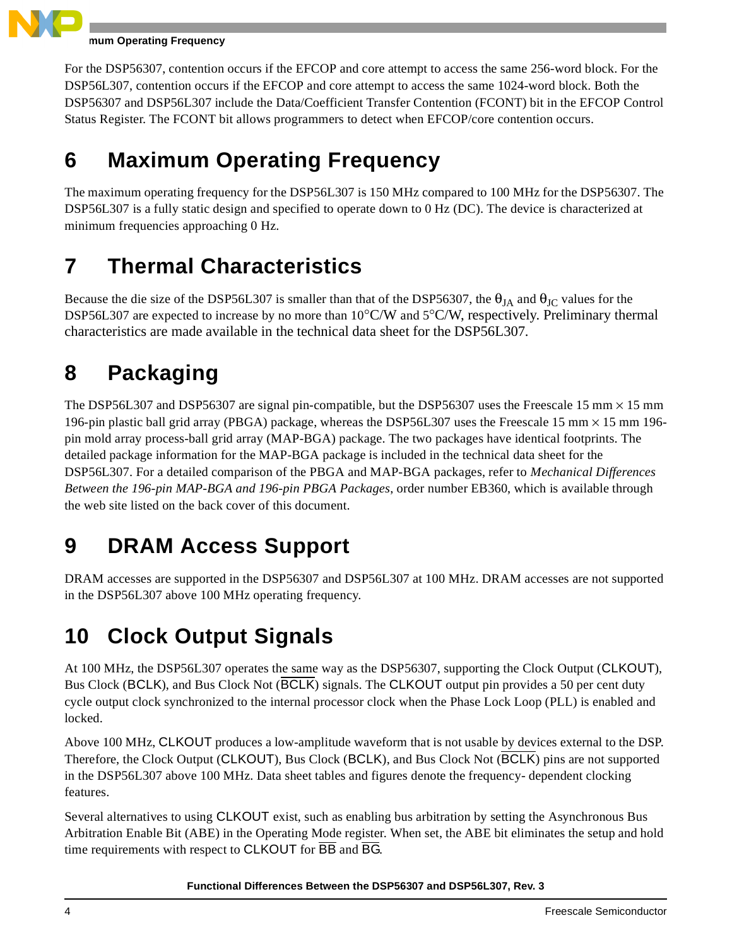

#### **Maximum Operating Frequency**

For the DSP56307, contention occurs if the EFCOP and core attempt to access the same 256-word block. For the DSP56L307, contention occurs if the EFCOP and core attempt to access the same 1024-word block. Both the DSP56307 and DSP56L307 include the Data/Coefficient Transfer Contention (FCONT) bit in the EFCOP Control Status Register. The FCONT bit allows programmers to detect when EFCOP/core contention occurs.

# **6 Maximum Operating Frequency**

The maximum operating frequency for the DSP56L307 is 150 MHz compared to 100 MHz for the DSP56307. The DSP56L307 is a fully static design and specified to operate down to 0 Hz (DC). The device is characterized at minimum frequencies approaching 0 Hz.

# **7 Thermal Characteristics**

Because the die size of the DSP56L307 is smaller than that of the DSP56307, the  $\theta_{JA}$  and  $\theta_{JC}$  values for the DSP56L307 are expected to increase by no more than 10°C/W and 5°C/W, respectively. Preliminary thermal characteristics are made available in the technical data sheet for the DSP56L307.

# **8 Packaging**

The DSP56L307 and DSP56307 are signal pin-compatible, but the DSP56307 uses the Freescale 15 mm  $\times$  15 mm 196-pin plastic ball grid array (PBGA) package, whereas the DSP56L307 uses the Freescale 15 mm  $\times$  15 mm 196pin mold array process-ball grid array (MAP-BGA) package. The two packages have identical footprints. The detailed package information for the MAP-BGA package is included in the technical data sheet for the DSP56L307. For a detailed comparison of the PBGA and MAP-BGA packages, refer to *Mechanical Differences Between the 196-pin MAP-BGA and 196-pin PBGA Packages*, order number EB360, which is available through the web site listed on the back cover of this document.

### **9 DRAM Access Support**

DRAM accesses are supported in the DSP56307 and DSP56L307 at 100 MHz. DRAM accesses are not supported in the DSP56L307 above 100 MHz operating frequency.

# **10 Clock Output Signals**

At 100 MHz, the DSP56L307 operates the same way as the DSP56307, supporting the Clock Output (CLKOUT), Bus Clock (BCLK), and Bus Clock Not (BCLK) signals. The CLKOUT output pin provides a 50 per cent duty cycle output clock synchronized to the internal processor clock when the Phase Lock Loop (PLL) is enabled and locked.

Above 100 MHz, CLKOUT produces a low-amplitude waveform that is not usable by devices external to the DSP. Therefore, the Clock Output (CLKOUT), Bus Clock (BCLK), and Bus Clock Not (BCLK) pins are not supported in the DSP56L307 above 100 MHz. Data sheet tables and figures denote the frequency- dependent clocking features.

Several alternatives to using CLKOUT exist, such as enabling bus arbitration by setting the Asynchronous Bus Arbitration Enable Bit (ABE) in the Operating Mode register. When set, the ABE bit eliminates the setup and hold time requirements with respect to CLKOUT for BB and BG.

#### **Functional Differences Between the DSP56307 and DSP56L307, Rev. 3**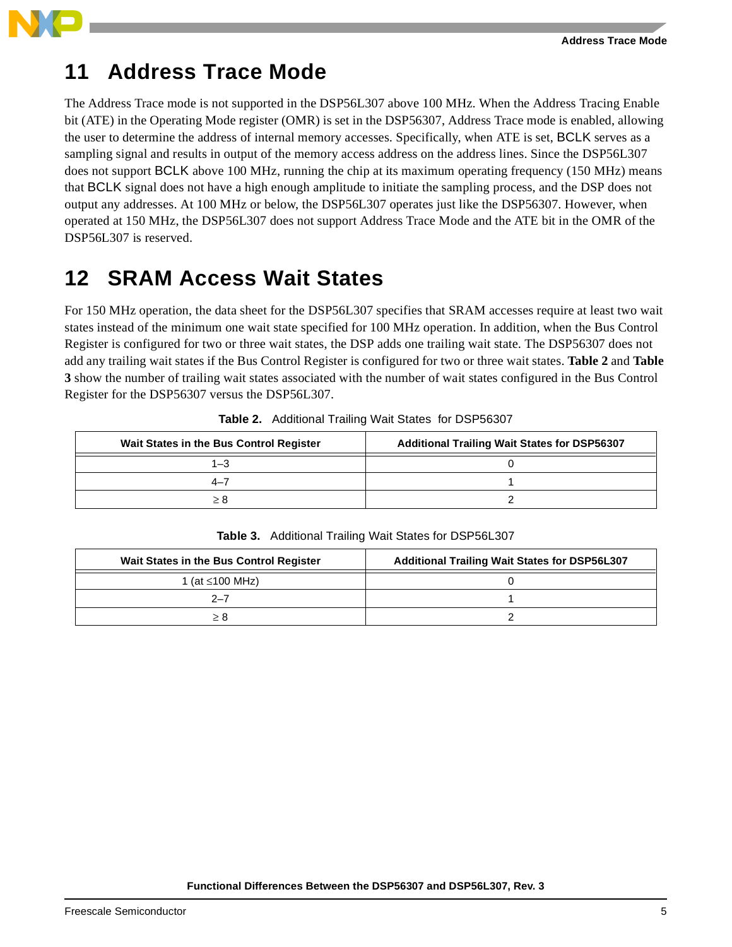

#### **11 Address Trace Mode**

The Address Trace mode is not supported in the DSP56L307 above 100 MHz. When the Address Tracing Enable bit (ATE) in the Operating Mode register (OMR) is set in the DSP56307, Address Trace mode is enabled, allowing the user to determine the address of internal memory accesses. Specifically, when ATE is set, BCLK serves as a sampling signal and results in output of the memory access address on the address lines. Since the DSP56L307 does not support BCLK above 100 MHz, running the chip at its maximum operating frequency (150 MHz) means that BCLK signal does not have a high enough amplitude to initiate the sampling process, and the DSP does not output any addresses. At 100 MHz or below, the DSP56L307 operates just like the DSP56307. However, when operated at 150 MHz, the DSP56L307 does not support Address Trace Mode and the ATE bit in the OMR of the DSP56L307 is reserved.

### **12 SRAM Access Wait States**

For 150 MHz operation, the data sheet for the DSP56L307 specifies that SRAM accesses require at least two wait states instead of the minimum one wait state specified for 100 MHz operation. In addition, when the Bus Control Register is configured for two or three wait states, the DSP adds one trailing wait state. The DSP56307 does not add any trailing wait states if the Bus Control Register is configured for two or three wait states. **[Table 2](#page-4-0)** and **[Table](#page-4-1)  [3](#page-4-1)** show the number of trailing wait states associated with the number of wait states configured in the Bus Control Register for the DSP56307 versus the DSP56L307.

<span id="page-4-0"></span>

| Wait States in the Bus Control Register | <b>Additional Trailing Wait States for DSP56307</b> |
|-----------------------------------------|-----------------------------------------------------|
| 1–3                                     |                                                     |
| $4 - 7$                                 |                                                     |
|                                         |                                                     |

**Table 2.** Additional Trailing Wait States for DSP56307

<span id="page-4-1"></span>

| <b>Wait States in the Bus Control Register</b> | <b>Additional Trailing Wait States for DSP56L307</b> |
|------------------------------------------------|------------------------------------------------------|
| 1 (at ≤100 MHz)                                |                                                      |
| $2 - 7$                                        |                                                      |
| > 8                                            |                                                      |

**Table 3.** Additional Trailing Wait States for DSP56L307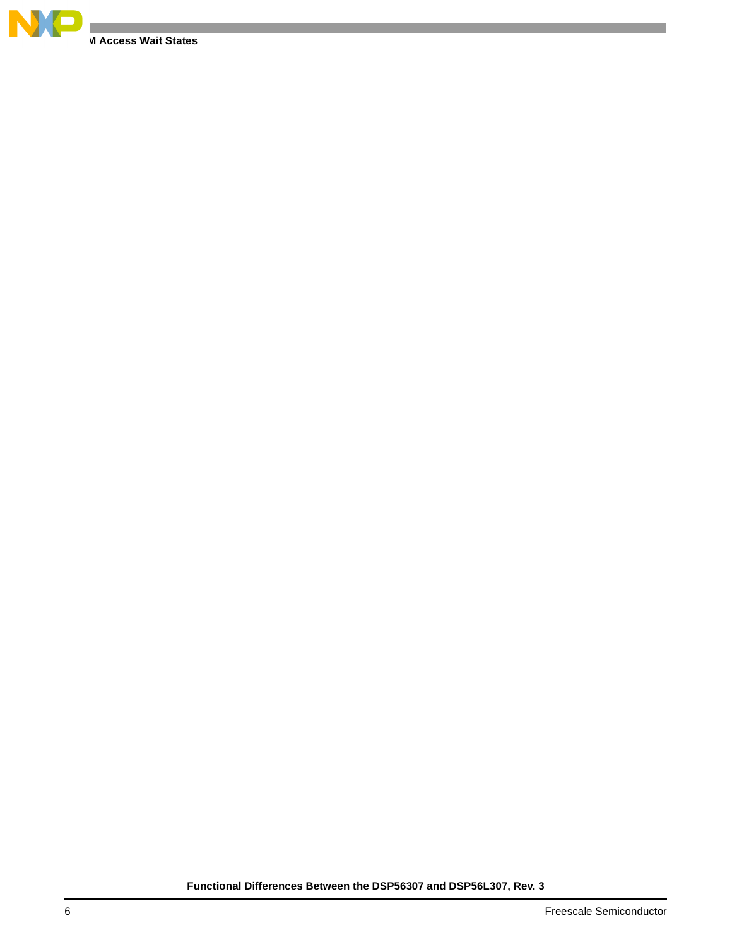

**Functional Differences Between the DSP56307 and DSP56L307, Rev. 3**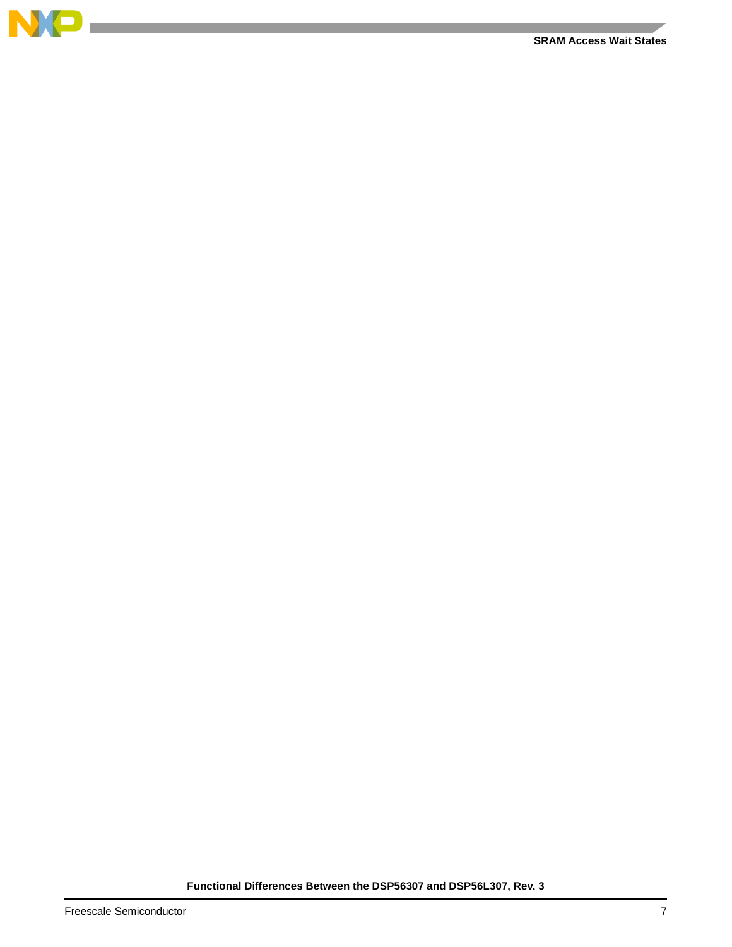

and the control of the control of the control of the control of the control of

**SRAM Access Wait States**

**Functional Differences Between the DSP56307 and DSP56L307, Rev. 3**